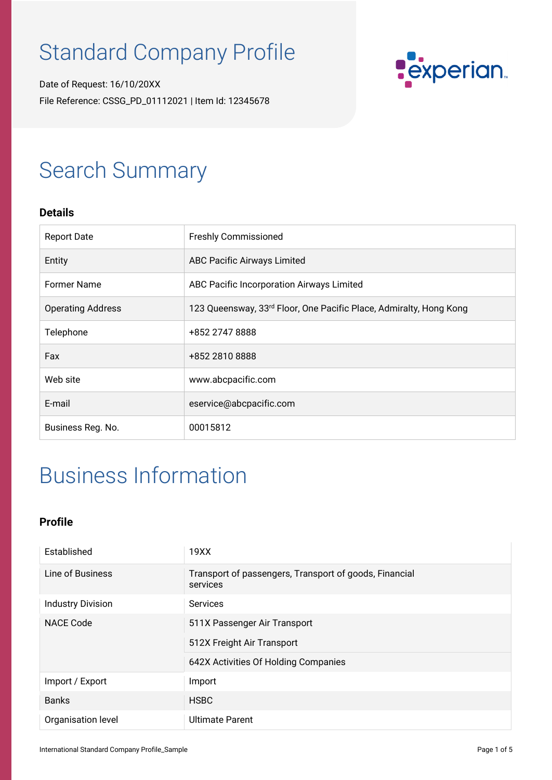# Standard Company Profile

Date of Request: 16/10/20XX File Reference: CSSG\_PD\_01112021 | Item Id: 12345678



## Search Summary

#### **Details**

| <b>Report Date</b>       | <b>Freshly Commissioned</b>                                        |
|--------------------------|--------------------------------------------------------------------|
| Entity                   | <b>ABC Pacific Airways Limited</b>                                 |
| <b>Former Name</b>       | ABC Pacific Incorporation Airways Limited                          |
| <b>Operating Address</b> | 123 Queensway, 33rd Floor, One Pacific Place, Admiralty, Hong Kong |
| Telephone                | +852 2747 8888                                                     |
| Fax                      | +852 2810 8888                                                     |
| Web site                 | www.abcpacific.com                                                 |
| E-mail                   | eservice@abcpacific.com                                            |
| Business Reg. No.        | 00015812                                                           |

## Business Information

#### **Profile**

| Established              | 19XX                                                                                               |
|--------------------------|----------------------------------------------------------------------------------------------------|
| Line of Business         | Transport of passengers, Transport of goods, Financial<br>services                                 |
| <b>Industry Division</b> | <b>Services</b>                                                                                    |
| <b>NACE Code</b>         | 511X Passenger Air Transport<br>512X Freight Air Transport<br>642X Activities Of Holding Companies |
| Import / Export          | Import                                                                                             |
| <b>Banks</b>             | <b>HSBC</b>                                                                                        |
| Organisation level       | <b>Ultimate Parent</b>                                                                             |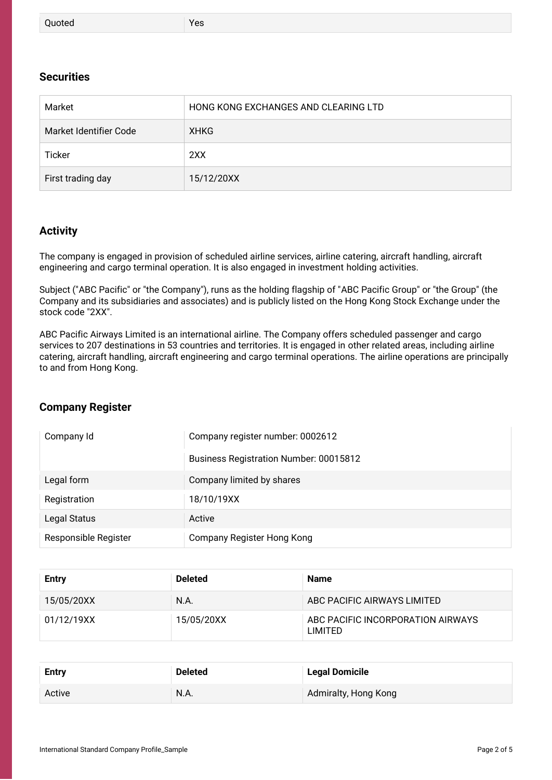| Quoted | Yes |  |  |
|--------|-----|--|--|
|--------|-----|--|--|

#### **Securities**

| Market                 | HONG KONG EXCHANGES AND CLEARING LTD |
|------------------------|--------------------------------------|
| Market Identifier Code | XHKG                                 |
| Ticker                 | 2XX                                  |
| First trading day      | 15/12/20XX                           |

#### **Activity**

The company is engaged in provision of scheduled airline services, airline catering, aircraft handling, aircraft engineering and cargo terminal operation. It is also engaged in investment holding activities.

Subject ("ABC Pacific" or "the Company"), runs as the holding flagship of "ABC Pacific Group" or "the Group" (the Company and its subsidiaries and associates) and is publicly listed on the Hong Kong Stock Exchange under the stock code "2XX".

ABC Pacific Airways Limited is an international airline. The Company offers scheduled passenger and cargo services to 207 destinations in 53 countries and territories. It is engaged in other related areas, including airline catering, aircraft handling, aircraft engineering and cargo terminal operations. The airline operations are principally to and from Hong Kong.

#### **Company Register**

| Company Id           | Company register number: 0002612              |  |
|----------------------|-----------------------------------------------|--|
|                      | <b>Business Registration Number: 00015812</b> |  |
| Legal form           | Company limited by shares                     |  |
| Registration         | 18/10/19XX                                    |  |
| Legal Status         | Active                                        |  |
| Responsible Register | Company Register Hong Kong                    |  |

| Entry      | <b>Deleted</b> | <b>Name</b>                                  |
|------------|----------------|----------------------------------------------|
| 15/05/20XX | N.A.           | ABC PACIFIC AIRWAYS LIMITED                  |
| 01/12/19XX | 15/05/20XX     | ABC PACIFIC INCORPORATION AIRWAYS<br>LIMITED |

| <b>Entry</b> | <b>Deleted</b> | <b>Legal Domicile</b> |
|--------------|----------------|-----------------------|
| Active       | N.A.           | Admiralty, Hong Kong  |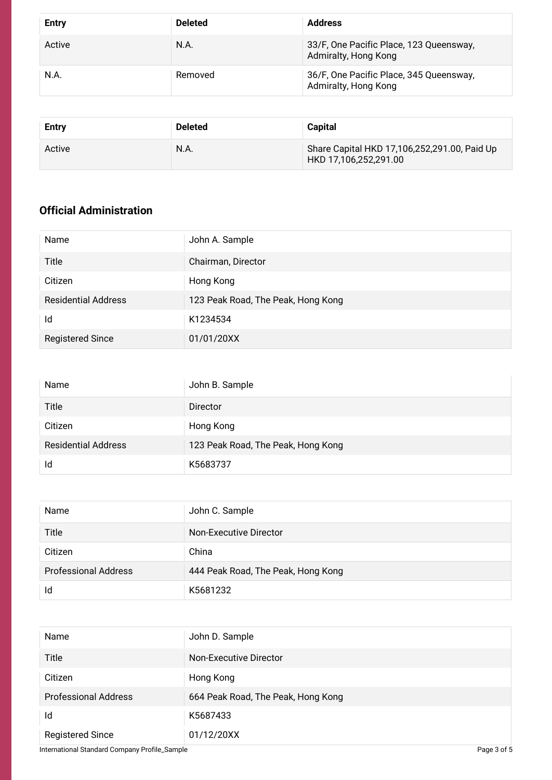| <b>Entry</b> | <b>Deleted</b> | <b>Address</b>                                                  |
|--------------|----------------|-----------------------------------------------------------------|
| Active       | N.A.           | 33/F, One Pacific Place, 123 Queensway,<br>Admiralty, Hong Kong |
| N.A.         | Removed        | 36/F, One Pacific Place, 345 Queensway,<br>Admiralty, Hong Kong |

| Entry  | <b>Deleted</b> | <b>Capital</b>                                                        |
|--------|----------------|-----------------------------------------------------------------------|
| Active | N.A.           | Share Capital HKD 17,106,252,291.00, Paid Up<br>HKD 17,106,252,291.00 |

### **Official Administration**

| Name                       | John A. Sample                     |
|----------------------------|------------------------------------|
| Title                      | Chairman, Director                 |
| Citizen                    | Hong Kong                          |
| <b>Residential Address</b> | 123 Peak Road, The Peak, Hong Kong |
| Id                         | K1234534                           |
| <b>Registered Since</b>    | 01/01/20XX                         |

| Name                       | John B. Sample                     |
|----------------------------|------------------------------------|
| Title                      | Director                           |
| Citizen                    | Hong Kong                          |
| <b>Residential Address</b> | 123 Peak Road, The Peak, Hong Kong |
| Id                         | K5683737                           |

| Name                        | John C. Sample                     |
|-----------------------------|------------------------------------|
| Title                       | Non-Executive Director             |
| Citizen                     | China                              |
| <b>Professional Address</b> | 444 Peak Road, The Peak, Hong Kong |
| Id                          | K5681232                           |

| Name                        | John D. Sample                     |
|-----------------------------|------------------------------------|
| Title                       | Non-Executive Director             |
| Citizen                     | Hong Kong                          |
| <b>Professional Address</b> | 664 Peak Road, The Peak, Hong Kong |
| Id                          | K5687433                           |
| <b>Registered Since</b>     | 01/12/20XX                         |

International Standard Company Profile\_Sample **Page 3 of 5** Page 3 of 5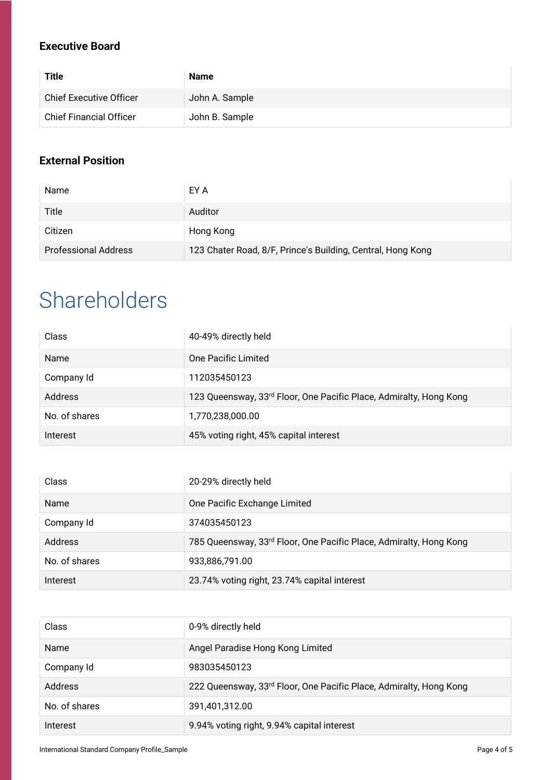### **Executive Board**

| <b>Title</b>                   | <b>Name</b>    |
|--------------------------------|----------------|
| <b>Chief Executive Officer</b> | John A. Sample |
| <b>Chief Financial Officer</b> | John B. Sample |

### **External Position**

| Name                        | EY A                                                        |
|-----------------------------|-------------------------------------------------------------|
| Title                       | Auditor                                                     |
| Citizen                     | Hong Kong                                                   |
| <b>Professional Address</b> | 123 Chater Road, 8/F, Prince's Building, Central, Hong Kong |

## Shareholders

| Class         | 40-49% directly held                                               |
|---------------|--------------------------------------------------------------------|
| Name          | One Pacific Limited                                                |
| Company Id    | 112035450123                                                       |
| Address       | 123 Queensway, 33rd Floor, One Pacific Place, Admiralty, Hong Kong |
| No. of shares | 1,770,238,000.00                                                   |
| Interest      | 45% voting right, 45% capital interest                             |

| Class          | 20-29% directly held                                                           |
|----------------|--------------------------------------------------------------------------------|
| Name           | One Pacific Exchange Limited                                                   |
| Company Id     | 374035450123                                                                   |
| <b>Address</b> | 785 Queensway, 33 <sup>rd</sup> Floor, One Pacific Place, Admiralty, Hong Kong |
| No. of shares  | 933,886,791.00                                                                 |
| Interest       | 23.74% voting right, 23.74% capital interest                                   |

| Class         | 0-9% directly held                                                 |
|---------------|--------------------------------------------------------------------|
| <b>Name</b>   | Angel Paradise Hong Kong Limited                                   |
| Company Id    | 983035450123                                                       |
| Address       | 222 Queensway, 33rd Floor, One Pacific Place, Admiralty, Hong Kong |
| No. of shares | 391,401,312.00                                                     |
| Interest      | 9.94% voting right, 9.94% capital interest                         |